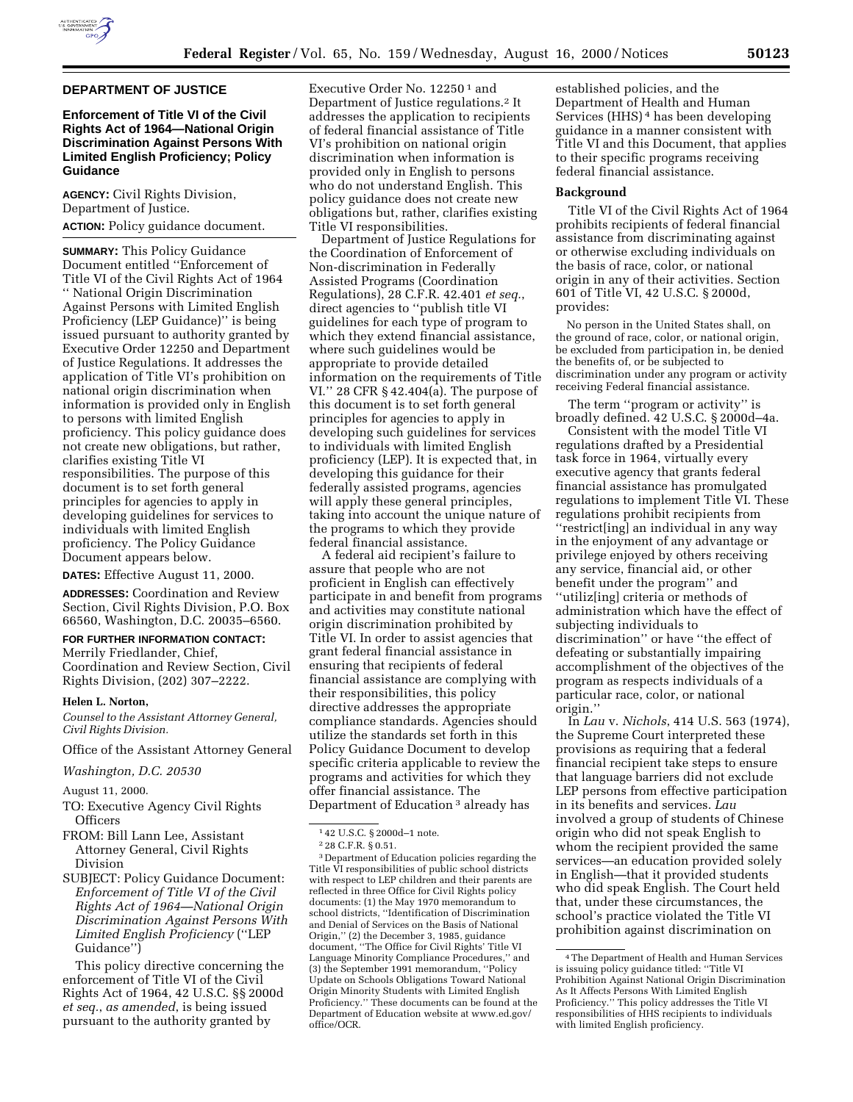

## **DEPARTMENT OF JUSTICE**

# **Enforcement of Title VI of the Civil Rights Act of 1964—National Origin Discrimination Against Persons With Limited English Proficiency; Policy Guidance**

**AGENCY:** Civil Rights Division, Department of Justice. **ACTION:** Policy guidance document.

**SUMMARY:** This Policy Guidance Document entitled ''Enforcement of Title VI of the Civil Rights Act of 1964 '' National Origin Discrimination Against Persons with Limited English Proficiency (LEP Guidance)'' is being issued pursuant to authority granted by Executive Order 12250 and Department of Justice Regulations. It addresses the application of Title VI's prohibition on national origin discrimination when information is provided only in English to persons with limited English proficiency. This policy guidance does not create new obligations, but rather, clarifies existing Title VI responsibilities. The purpose of this document is to set forth general principles for agencies to apply in developing guidelines for services to individuals with limited English proficiency. The Policy Guidance Document appears below.

**DATES:** Effective August 11, 2000.

**ADDRESSES:** Coordination and Review Section, Civil Rights Division, P.O. Box 66560, Washington, D.C. 20035–6560.

#### **FOR FURTHER INFORMATION CONTACT:**

Merrily Friedlander, Chief, Coordination and Review Section, Civil Rights Division, (202) 307–2222.

## **Helen L. Norton,**

*Counsel to the Assistant Attorney General, Civil Rights Division.*

Office of the Assistant Attorney General

*Washington, D.C. 20530*

August 11, 2000.

- TO: Executive Agency Civil Rights **Officers**
- FROM: Bill Lann Lee, Assistant Attorney General, Civil Rights Division
- SUBJECT: Policy Guidance Document: *Enforcement of Title VI of the Civil Rights Act of 1964—National Origin Discrimination Against Persons With Limited English Proficiency* (''LEP Guidance'')

This policy directive concerning the enforcement of Title VI of the Civil Rights Act of 1964, 42 U.S.C. §§ 2000d *et seq.*, *as amended*, is being issued pursuant to the authority granted by

Executive Order No. 12250<sup>1</sup> and Department of Justice regulations.2 It addresses the application to recipients of federal financial assistance of Title VI's prohibition on national origin discrimination when information is provided only in English to persons who do not understand English. This policy guidance does not create new obligations but, rather, clarifies existing Title VI responsibilities.

Department of Justice Regulations for the Coordination of Enforcement of Non-discrimination in Federally Assisted Programs (Coordination Regulations), 28 C.F.R. 42.401 *et seq.*, direct agencies to ''publish title VI guidelines for each type of program to which they extend financial assistance, where such guidelines would be appropriate to provide detailed information on the requirements of Title VI.'' 28 CFR § 42.404(a). The purpose of this document is to set forth general principles for agencies to apply in developing such guidelines for services to individuals with limited English proficiency (LEP). It is expected that, in developing this guidance for their federally assisted programs, agencies will apply these general principles, taking into account the unique nature of the programs to which they provide federal financial assistance.

A federal aid recipient's failure to assure that people who are not proficient in English can effectively participate in and benefit from programs and activities may constitute national origin discrimination prohibited by Title VI. In order to assist agencies that grant federal financial assistance in ensuring that recipients of federal financial assistance are complying with their responsibilities, this policy directive addresses the appropriate compliance standards. Agencies should utilize the standards set forth in this Policy Guidance Document to develop specific criteria applicable to review the programs and activities for which they offer financial assistance. The Department of Education 3 already has

3 Department of Education policies regarding the Title VI responsibilities of public school districts with respect to LEP children and their parents are reflected in three Office for Civil Rights policy documents: (1) the May 1970 memorandum to school districts, ''Identification of Discrimination and Denial of Services on the Basis of National Origin,'' (2) the December 3, 1985, guidance document, ''The Office for Civil Rights' Title VI Language Minority Compliance Procedures,'' and (3) the September 1991 memorandum, ''Policy Update on Schools Obligations Toward National Origin Minority Students with Limited English Proficiency.'' These documents can be found at the Department of Education website at www.ed.gov/ office/OCR.

established policies, and the Department of Health and Human Services (HHS) 4 has been developing guidance in a manner consistent with Title VI and this Document, that applies to their specific programs receiving federal financial assistance.

#### **Background**

Title VI of the Civil Rights Act of 1964 prohibits recipients of federal financial assistance from discriminating against or otherwise excluding individuals on the basis of race, color, or national origin in any of their activities. Section 601 of Title VI, 42 U.S.C. § 2000d, provides:

No person in the United States shall, on the ground of race, color, or national origin, be excluded from participation in, be denied the benefits of, or be subjected to discrimination under any program or activity receiving Federal financial assistance.

The term ''program or activity'' is broadly defined. 42 U.S.C. § 2000d–4a.

Consistent with the model Title VI regulations drafted by a Presidential task force in 1964, virtually every executive agency that grants federal financial assistance has promulgated regulations to implement Title VI. These regulations prohibit recipients from ''restrict[ing] an individual in any way in the enjoyment of any advantage or privilege enjoyed by others receiving any service, financial aid, or other benefit under the program'' and ''utiliz[ing] criteria or methods of administration which have the effect of subjecting individuals to discrimination'' or have ''the effect of defeating or substantially impairing accomplishment of the objectives of the program as respects individuals of a particular race, color, or national origin.''

In *Lau* v. *Nichols*, 414 U.S. 563 (1974), the Supreme Court interpreted these provisions as requiring that a federal financial recipient take steps to ensure that language barriers did not exclude LEP persons from effective participation in its benefits and services. *Lau* involved a group of students of Chinese origin who did not speak English to whom the recipient provided the same services—an education provided solely in English—that it provided students who did speak English. The Court held that, under these circumstances, the school's practice violated the Title VI prohibition against discrimination on

 $^{\rm 1\,42}$  U.S.C. § 2000d–1 note.

<sup>2</sup> 28 C.F.R. § 0.51.

<sup>4</sup>The Department of Health and Human Services is issuing policy guidance titled: ''Title VI Prohibition Against National Origin Discrimination As It Affects Persons With Limited English Proficiency.'' This policy addresses the Title VI responsibilities of HHS recipients to individuals with limited English proficiency.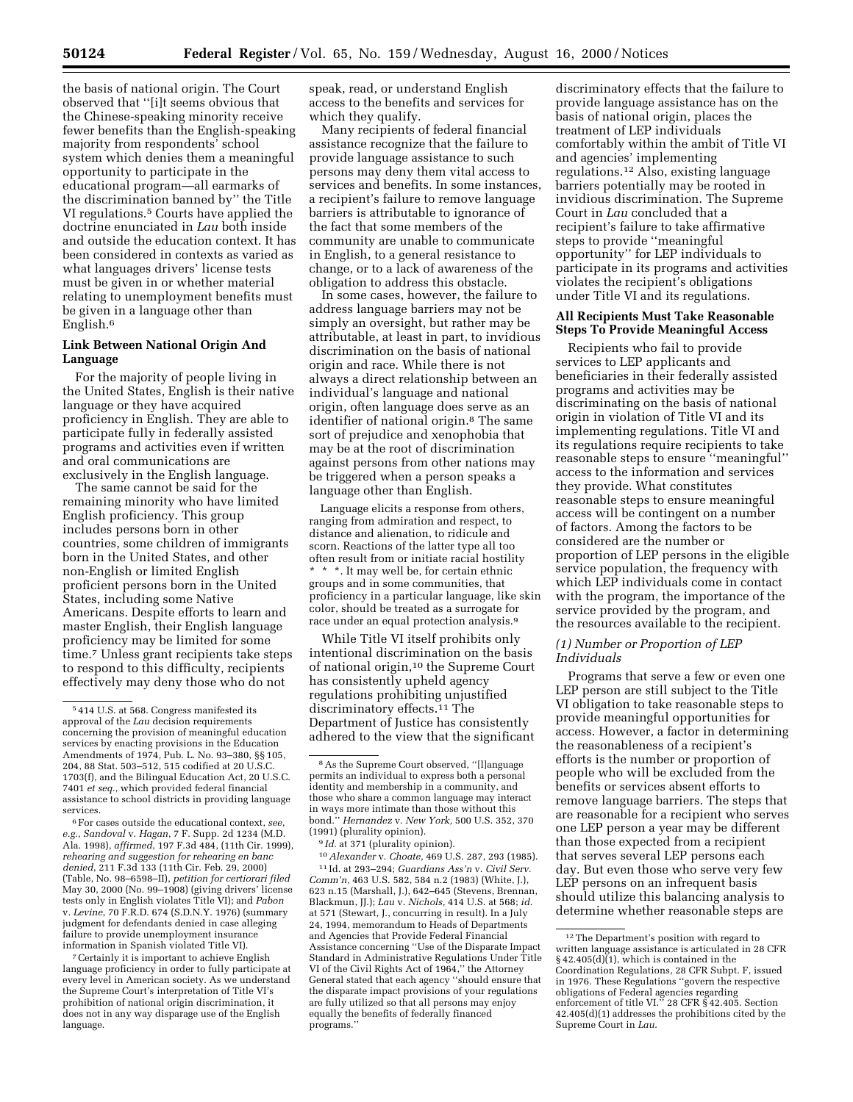the basis of national origin. The Court observed that ''[i]t seems obvious that the Chinese-speaking minority receive fewer benefits than the English-speaking majority from respondents' school system which denies them a meaningful opportunity to participate in the educational program—all earmarks of the discrimination banned by'' the Title VI regulations.5 Courts have applied the doctrine enunciated in *Lau* both inside and outside the education context. It has been considered in contexts as varied as what languages drivers' license tests must be given in or whether material relating to unemployment benefits must be given in a language other than English.6

## **Link Between National Origin And Language**

For the majority of people living in the United States, English is their native language or they have acquired proficiency in English. They are able to participate fully in federally assisted programs and activities even if written and oral communications are exclusively in the English language.

The same cannot be said for the remaining minority who have limited English proficiency. This group includes persons born in other countries, some children of immigrants born in the United States, and other non-English or limited English proficient persons born in the United States, including some Native Americans. Despite efforts to learn and master English, their English language proficiency may be limited for some time.7 Unless grant recipients take steps to respond to this difficulty, recipients effectively may deny those who do not

6For cases outside the educational context, *see*, *e.g.*, *Sandoval* v. *Hagan*, 7 F. Supp. 2d 1234 (M.D. Ala. 1998), *affirmed*, 197 F.3d 484, (11th Cir. 1999), *rehearing and suggestion for rehearing en banc denied*, 211 F.3d 133 (11th Cir. Feb. 29, 2000) (Table, No. 98–6598–II), *petition for certiorari filed* May 30, 2000 (No. 99–1908) (giving drivers' license tests only in English violates Title VI); and *Pabon* v. *Levine*, 70 F.R.D. 674 (S.D.N.Y. 1976) (summary judgment for defendants denied in case alleging failure to provide unemployment insurance information in Spanish violated Title VI).

7Certainly it is important to achieve English language proficiency in order to fully participate at every level in American society. As we understand the Supreme Court's interpretation of Title VI's prohibition of national origin discrimination, it does not in any way disparage use of the English language.

speak, read, or understand English access to the benefits and services for which they qualify.

Many recipients of federal financial assistance recognize that the failure to provide language assistance to such persons may deny them vital access to services and benefits. In some instances, a recipient's failure to remove language barriers is attributable to ignorance of the fact that some members of the community are unable to communicate in English, to a general resistance to change, or to a lack of awareness of the obligation to address this obstacle.

In some cases, however, the failure to address language barriers may not be simply an oversight, but rather may be attributable, at least in part, to invidious discrimination on the basis of national origin and race. While there is not always a direct relationship between an individual's language and national origin, often language does serve as an identifier of national origin.8 The same sort of prejudice and xenophobia that may be at the root of discrimination against persons from other nations may be triggered when a person speaks a language other than English.

Language elicits a response from others, ranging from admiration and respect, to distance and alienation, to ridicule and scorn. Reactions of the latter type all too often result from or initiate racial hostility \* \* \*. It may well be, for certain ethnic groups and in some communities, that proficiency in a particular language, like skin color, should be treated as a surrogate for race under an equal protection analysis.9

While Title VI itself prohibits only intentional discrimination on the basis of national origin,10 the Supreme Court has consistently upheld agency regulations prohibiting unjustified discriminatory effects.11 The Department of Justice has consistently adhered to the view that the significant

9 *Id.* at 371 (plurality opinion).

10*Alexander* v. *Choate,* 469 U.S. 287, 293 (1985). 11 Id. at 293–294; *Guardians Ass'n* v. *Civil Serv. Comm'n,* 463 U.S. 582, 584 n.2 (1983) (White, J.), 623 n.15 (Marshall, J.), 642–645 (Stevens, Brennan, Blackmun, JJ.); *Lau* v. *Nichols,* 414 U.S. at 568; *id.* at 571 (Stewart, J., concurring in result). In a July 24, 1994, memorandum to Heads of Departments and Agencies that Provide Federal Financial Assistance concerning ''Use of the Disparate Impact Standard in Administrative Regulations Under Title VI of the Civil Rights Act of 1964,'' the Attorney General stated that each agency ''should ensure that the disparate impact provisions of your regulations are fully utilized so that all persons may enjoy equally the benefits of federally financed programs.''

discriminatory effects that the failure to provide language assistance has on the basis of national origin, places the treatment of LEP individuals comfortably within the ambit of Title VI and agencies' implementing regulations.12 Also, existing language barriers potentially may be rooted in invidious discrimination. The Supreme Court in *Lau* concluded that a recipient's failure to take affirmative steps to provide ''meaningful opportunity'' for LEP individuals to participate in its programs and activities violates the recipient's obligations under Title VI and its regulations.

# **All Recipients Must Take Reasonable Steps To Provide Meaningful Access**

Recipients who fail to provide services to LEP applicants and beneficiaries in their federally assisted programs and activities may be discriminating on the basis of national origin in violation of Title VI and its implementing regulations. Title VI and its regulations require recipients to take reasonable steps to ensure ''meaningful'' access to the information and services they provide. What constitutes reasonable steps to ensure meaningful access will be contingent on a number of factors. Among the factors to be considered are the number or proportion of LEP persons in the eligible service population, the frequency with which LEP individuals come in contact with the program, the importance of the service provided by the program, and the resources available to the recipient.

## *(1) Number or Proportion of LEP Individuals*

Programs that serve a few or even one LEP person are still subject to the Title VI obligation to take reasonable steps to provide meaningful opportunities for access. However, a factor in determining the reasonableness of a recipient's efforts is the number or proportion of people who will be excluded from the benefits or services absent efforts to remove language barriers. The steps that are reasonable for a recipient who serves one LEP person a year may be different than those expected from a recipient that serves several LEP persons each day. But even those who serve very few LEP persons on an infrequent basis should utilize this balancing analysis to determine whether reasonable steps are

<sup>5</sup> 414 U.S. at 568. Congress manifested its approval of the *Lau* decision requirements concerning the provision of meaningful education services by enacting provisions in the Education Amendments of 1974, Pub. L. No. 93–380, §§ 105, 204, 88 Stat. 503–512, 515 codified at 20 U.S.C. 1703(f), and the Bilingual Education Act, 20 U.S.C. 7401 *et seq.*, which provided federal financial assistance to school districts in providing language services.

<sup>8</sup>As the Supreme Court observed, ''[l]anguage permits an individual to express both a personal identity and membership in a community, and those who share a common language may interact in ways more intimate than those without this bond.'' *Hernandez* v. *New York,* 500 U.S. 352, 370 (1991) (plurality opinion).

<sup>12</sup>The Department's position with regard to written language assistance is articulated in 28 CFR § 42.405(d)(1), which is contained in the Coordination Regulations, 28 CFR Subpt. F, issued in 1976. These Regulations ''govern the respective obligations of Federal agencies regarding enforcement of title VI.'' 28 CFR § 42.405. Section 42.405(d)(1) addresses the prohibitions cited by the Supreme Court in *Lau*.